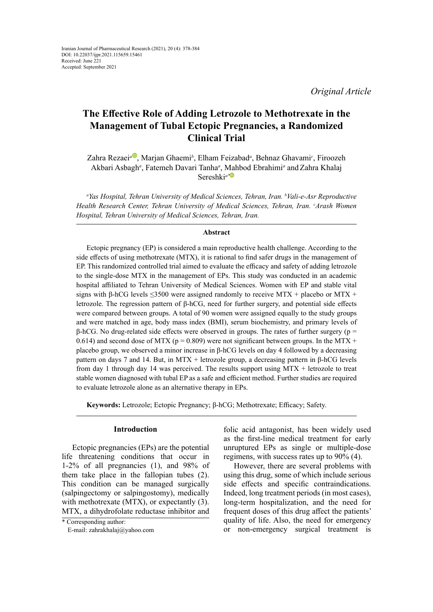*Original Article*

# **The Effective Role of Adding Letrozole to Methotrexate in the Management of Tubal Ectopic Pregnancies, a Randomized Clinical Trial**

Z[a](https://orcid.org/0000-0001-7317-1343)hra Rezaei<sup>a®</sup>, Marjan Ghaemi<sup>b</sup>, Elham Feizabad<sup>a</sup>, Behnaz Ghavami<sup>c</sup>, Firoozeh Akbari Asbagh*<sup>a</sup>* , Fatemeh Davari Tanha*<sup>a</sup>* , [Mah](https://orcid.org/0000-0003-4843-1283)bod Ebrahimi*<sup>a</sup>* andZahra Khalaj Sereshki*a\**

<sup>a</sup> Yas Hospital, Tehran University of Medical Sciences, Tehran, Iran. <sup>b</sup>Vali-e-Asr Reproductive Health Research Center, Tehran University of Medical Sciences, Tehran, Iran. <sup>c</sup>Arash Women *Hospital, Tehran University of Medical Sciences, Tehran, Iran.*

### **Abstract**

Ectopic pregnancy (EP) is considered a main reproductive health challenge. According to the side effects of using methotrexate (MTX), it is rational to find safer drugs in the management of EP. This randomized controlled trial aimed to evaluate the efficacy and safety of adding letrozole to the single-dose MTX in the management of EPs. This study was conducted in an academic hospital affiliated to Tehran University of Medical Sciences. Women with EP and stable vital signs with β-hCG levels  $\leq$ 3500 were assigned randomly to receive MTX + placebo or MTX + letrozole. The regression pattern of β-hCG, need for further surgery, and potential side effects were compared between groups. A total of 90 women were assigned equally to the study groups and were matched in age, body mass index (BMI), serum biochemistry, and primary levels of  $β$ -hCG. No drug-related side effects were observed in groups. The rates of further surgery ( $p =$ 0.614) and second dose of MTX ( $p = 0.809$ ) were not significant between groups. In the MTX + placebo group, we observed a minor increase in β-hCG levels on day 4 followed by a decreasing pattern on days 7 and 14. But, in MTX + letrozole group, a decreasing pattern in β-hCG levels from day 1 through day 14 was perceived. The results support using  $MTX + letrozole$  to treat stable women diagnosed with tubal EP as a safe and efficient method. Further studies are required to evaluate letrozole alone as an alternative therapy in EPs.

**Keywords:** Letrozole; Ectopic Pregnancy; β-hCG; Methotrexate; Efficacy; Safety.

## **Introduction**

Ectopic pregnancies (EPs) are the potential life threatening conditions that occur in 1-2% of all pregnancies (1), and 98% of them take place in the fallopian tubes (2). This condition can be managed surgically (salpingectomy or salpingostomy), medically with methotrexate (MTX), or expectantly (3). MTX, a dihydrofolate reductase inhibitor and

\* Corresponding author: E-mail: zahrakhalaj@yahoo.com folic acid antagonist, has been widely used as the first-line medical treatment for early unruptured EPs as single or multiple-dose regimens, with success rates up to 90% (4).

However, there are several problems with using this drug, some of which include serious side effects and specific contraindications. Indeed, long treatment periods (in most cases), long-term hospitalization, and the need for frequent doses of this drug affect the patients' quality of life. Also, the need for emergency or non-emergency surgical treatment is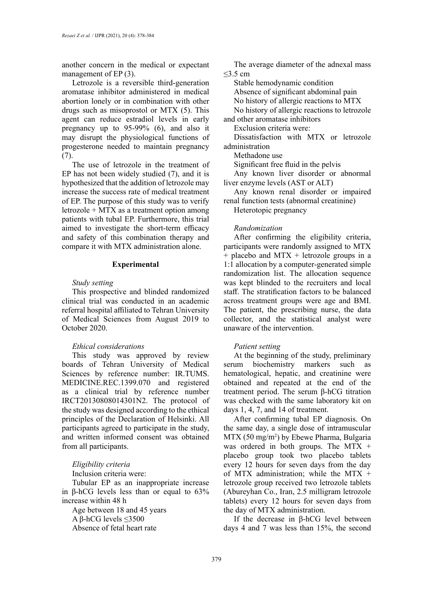another concern in the medical or expectant management of EP (3).

Letrozole is a reversible third-generation aromatase inhibitor administered in medical abortion lonely or in combination with other drugs such as misoprostol or MTX (5). This agent can reduce estradiol levels in early pregnancy up to 95-99% (6), and also it may disrupt the physiological functions of progesterone needed to maintain pregnancy (7).

The use of letrozole in the treatment of EP has not been widely studied (7), and it is hypothesized that the addition of letrozole may increase the success rate of medical treatment of EP. The purpose of this study was to verify letrozole + MTX as a treatment option among patients with tubal EP. Furthermore, this trial aimed to investigate the short-term efficacy and safety of this combination therapy and compare it with MTX administration alone.

### **Experimental**

### *Study setting*

This prospective and blinded randomized clinical trial was conducted in an academic referral hospital affiliated to Tehran University of Medical Sciences from August 2019 to October 2020.

# *Ethical considerations*

This study was approved by review boards of Tehran University of Medical Sciences by reference number: IR.TUMS. MEDICINE.REC.1399.070 and registered as a clinical trial by reference number IRCT20130808014301N2. The protocol of the study was designed according to the ethical principles of the Declaration of Helsinki. All participants agreed to participate in the study, and written informed consent was obtained from all participants.

# *Eligibility criteria*

Inclusion criteria were:

Tubular EP as an inappropriate increase in β-hCG levels less than or equal to 63% increase within 48 h

Age between 18 and 45 years A β-hCG levels ≤3500 Absence of fetal heart rate

The average diameter of the adnexal mass ≤3.5 cm

Stable hemodynamic condition Absence of significant abdominal pain No history of allergic reactions to MTX No history of allergic reactions to letrozole

and other aromatase inhibitors

Exclusion criteria were:

Dissatisfaction with MTX or letrozole administration

Methadone use

Significant free fluid in the pelvis

Any known liver disorder or abnormal liver enzyme levels (AST or ALT)

Any known renal disorder or impaired renal function tests (abnormal creatinine)

Heterotopic pregnancy

### *Randomization*

After confirming the eligibility criteria, participants were randomly assigned to MTX + placebo and MTX + letrozole groups in a 1:1 allocation by a computer‐generated simple randomization list. The allocation sequence was kept blinded to the recruiters and local staff. The stratification factors to be balanced across treatment groups were age and BMI. The patient, the prescribing nurse, the data collector, and the statistical analyst were unaware of the intervention.

# *Patient setting*

At the beginning of the study, preliminary serum biochemistry markers such as hematological, hepatic, and creatinine were obtained and repeated at the end of the treatment period. The serum β-hCG titration was checked with the same laboratory kit on days 1, 4, 7, and 14 of treatment.

After confirming tubal EP diagnosis. On the same day, a single dose of intramuscular MTX (50 mg/m<sup>2</sup> ) by Ebewe Pharma, Bulgaria was ordered in both groups. The MTX  $+$ placebo group took two placebo tablets every 12 hours for seven days from the day of MTX administration; while the MTX  $+$ letrozole group received two letrozole tablets (Abureyhan Co., Iran, 2.5 milligram letrozole tablets) every 12 hours for seven days from the day of MTX administration.

If the decrease in β-hCG level between days 4 and 7 was less than 15%, the second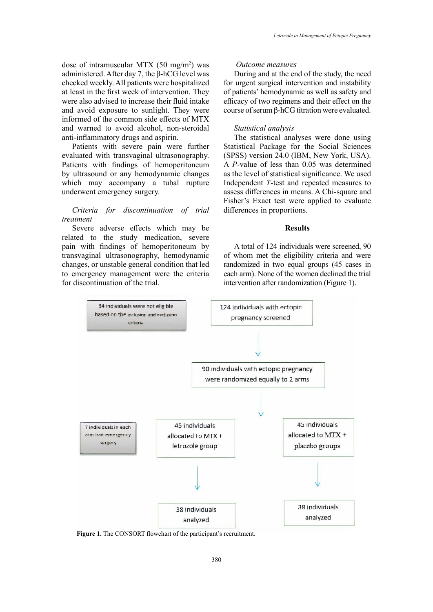dose of intramuscular MTX  $(50 \text{ mg/m}^2)$  was administered. After day 7, the β-hCG level was checked weekly. All patients were hospitalized at least in the first week of intervention. They were also advised to increase their fluid intake and avoid exposure to sunlight. They were informed of the common side effects of MTX and warned to avoid alcohol, non‐steroidal anti‐inflammatory drugs and aspirin.

Patients with severe pain were further evaluated with transvaginal ultrasonography. Patients with findings of hemoperitoneum by ultrasound or any hemodynamic changes which may accompany a tubal rupture underwent emergency surgery.

# *Criteria for discontinuation of trial treatment*

Severe adverse effects which may be related to the study medication, severe pain with findings of hemoperitoneum by transvaginal ultrasonography, hemodynamic changes, or unstable general condition that led to emergency management were the criteria for discontinuation of the trial.

### *Outcome measures*

During and at the end of the study, the need for urgent surgical intervention and instability of patients' hemodynamic as well as safety and efficacy of two regimens and their effect on the course of serum β-hCG titration were evaluated.

### *Statistical analysis*

The statistical analyses were done using Statistical Package for the Social Sciences (SPSS) version 24.0 (IBM, New York, USA). A *P*-value of less than 0.05 was determined as the level of statistical significance. We used Independent *T*-test and repeated measures to assess differences in means. A Chi-square and Fisher's Exact test were applied to evaluate differences in proportions.

## **Results**

A total of 124 individuals were screened, 90 of whom met the eligibility criteria and were randomized in two equal groups (45 cases in each arm). None of the women declined the trial intervention after randomization (Figure 1).



**Figure 1.** The CONSORT flowchart of the participant's recruitment.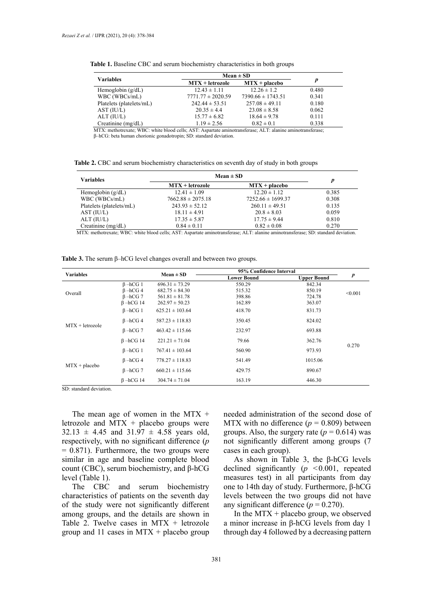| Variables                | $Mean \pm SD$         |                       |       |  |
|--------------------------|-----------------------|-----------------------|-------|--|
|                          | $MTX + letrozole$     | $MTX + placebo$       |       |  |
| Hemoglobin $(g/dL)$      | $12.43 \pm 1.11$      | $12.26 \pm 1.2$       | 0.480 |  |
| WBC (WBCs/mL)            | $7771.77 \pm 2020.59$ | $7390.66 \pm 1743.51$ | 0.341 |  |
| Platelets (platelets/mL) | $242.44 \pm 53.51$    | $257.08 \pm 49.11$    | 0.180 |  |
| AST (IU/L)               | $20.35 \pm 4.4$       | $23.08 \pm 8.58$      | 0.062 |  |
| ALT (IU/L)               | $15.77 \pm 6.82$      | $18.64 \pm 9.78$      | 0.111 |  |
| Creatinine $(mg/dL)$     | $1.19 \pm 2.56$       | $0.82 \pm 0.1$        | 0.338 |  |

**Table 1.** Baseline CBC and serum biochemistry characteristics in both groups **Table 1.** Baseline CBC and serum biochemistry characteristics in both groups

MTX: methotrexate; WBC: white blood cells; AST: Aspartate aminotransferase; ALT: alanine aminotransferase;

β–hCG: beta human chorionic gonadotropin; SD: standard deviation.

**Table 2.** CBC and serum biochemistry characteristics on seventh day of study in both groups **Table 2.** CBC and serum biochemistry characteristics on seventh day of study in both groups

| <b>Variables</b>         | $Mean \pm SD$         |                       | р     |  |
|--------------------------|-----------------------|-----------------------|-------|--|
|                          | $MTX + letrozole$     | $MTX + placebo$       |       |  |
| Hemoglobin $(g/dL)$      | $12.41 \pm 1.09$      | $12.20 \pm 1.12$      | 0.385 |  |
| WBC (WBCs/mL)            | $7662.88 \pm 2075.18$ | $7252.66 \pm 1699.37$ | 0.308 |  |
| Platelets (platelets/mL) | $243.93 \pm 52.12$    | $260.11 \pm 49.51$    | 0.135 |  |
| AST (IU/L)               | $18.11 \pm 4.91$      | $20.8 \pm 8.03$       | 0.059 |  |
| $ALT$ (IU/L)             | $17.35 \pm 5.87$      | $17.75 \pm 9.44$      | 0.810 |  |
| Creatinine $(mg/dL)$     | $0.84 \pm 0.11$       | $0.82 \pm 0.08$       | 0.270 |  |

MTX: methotrexate; WBC: white blood cells; AST: Aspartate aminotransferase; ALT: alanine aminotransferase; SD: standard deviation.

**Table 3.** The serum β–hCG level changes overall and between two groups. **Table 3.** The serum β–hCG level changes overall and between two groups.

| <b>Variables</b>  |                 | $Mean \pm SD$       |                    | 95% Confidence Interval |                  |
|-------------------|-----------------|---------------------|--------------------|-------------------------|------------------|
|                   |                 |                     | <b>Lower Bound</b> | <b>Upper Bound</b>      | $\boldsymbol{p}$ |
| Overall           | $\beta$ –hCG 1  | $696.31 \pm 73.29$  | 550.29             | 842.34                  | < 0.001          |
|                   | $\beta$ –hCG 4  | $682.75 \pm 84.30$  | 515.32             | 850.19                  |                  |
|                   | $\beta$ –hCG 7  | $561.81 \pm 81.78$  | 398.86             | 724.78                  |                  |
|                   | $\beta$ -hCG 14 | $262.97 \pm 50.23$  | 162.89             | 363.07                  |                  |
| $MTX + letrozole$ | $\beta$ –hCG 1  | $625.21 \pm 103.64$ | 418.70             | 831.73                  |                  |
|                   | $\beta$ –hCG 4  | $587.23 \pm 118.83$ | 350.45             | 824.02                  |                  |
|                   | $\beta$ –hCG 7  | $463.42 \pm 115.66$ | 232.97             | 693.88                  |                  |
|                   | $\beta$ -hCG 14 | $221.21 \pm 71.04$  | 79.66              | 362.76                  |                  |
| $MTX + placebo$   | $\beta$ -hCG 1  | $767.41 \pm 103.64$ | 560.90             | 973.93                  | 0.270            |
|                   | $\beta$ –hCG 4  | $778.27 \pm 118.83$ | 541.49             | 1015.06                 |                  |
|                   | $\beta$ –hCG 7  | $660.21 \pm 115.66$ | 429.75             | 890.67                  |                  |
|                   | $\beta$ -hCG 14 | $304.74 \pm 71.04$  | 163.19             | 446.30                  |                  |

SD: standard deviation.

The mean age of women in the MTX  $+$ letrozole and MTX + placebo groups were  $32.13 \pm 4.45$  and  $31.97 \pm 4.58$  years old, respectively, with no significant difference (*p*  $= 0.871$ ). Furthermore, the two groups were similar in age and baseline complete blood count (CBC), serum biochemistry, and β-hCG level (Table 1).

The CBC and serum biochemistry characteristics of patients on the seventh day of the study were not significantly different among groups, and the details are shown in Table 2. Twelve cases in  $MTX + letrozole$ group and 11 cases in  $MTX +$  placebo group

needed administration of the second dose of MTX with no difference  $(p = 0.809)$  between groups. Also, the surgery rate  $(p = 0.614)$  was not significantly different among groups (7 cases in each group).

As shown in Table 3, the β-hCG levels declined significantly  $(p \le 0.001$ , repeated measures test) in all participants from day one to 14th day of study. Furthermore, β-hCG levels between the two groups did not have any significant difference  $(p = 0.270)$ .

In the  $MTX +$  placebo group, we observed a minor increase in β-hCG levels from day 1 through day 4 followed by a decreasing pattern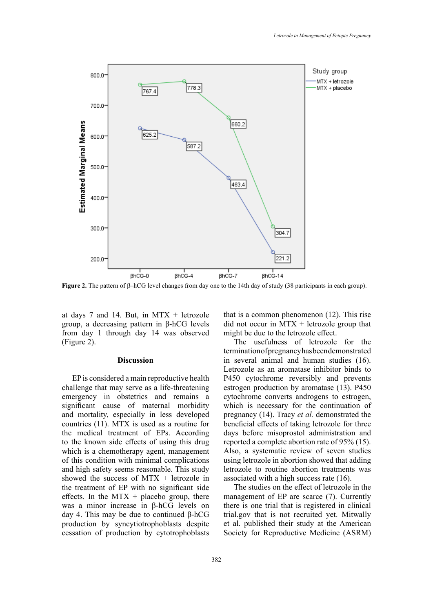

**Figure 2.** The pattern of β–hCG level changes from day one to the 14th day of study (38 participants in each group).

at days 7 and 14. But, in MTX  $+$  letrozole group, a decreasing pattern in β-hCG levels  $\frac{1}{2}$  from day 1 through day 14 was observed (Figure 2).

### **Discussion**

EP is considered a main reproductive health challenge that may serve as a life-threatening emergency in obstetrics and remains a significant cause of maternal morbidity and mortality, especially in less developed countries (11). MTX is used as a routine for the medical treatment of EPs. According to the known side effects of using this drug which is a chemotherapy agent, management of this condition with minimal complications and high safety seems reasonable. This study showed the success of MTX + letrozole in the treatment of EP with no significant side effects. In the MTX  $+$  placebo group, there was a minor increase in β-hCG levels on day 4. This may be due to continued β-hCG production by syncytiotrophoblasts despite cessation of production by cytotrophoblasts

days 7 and 14. But, in MTX + letrozole that is a common phenomenon (12). This rise did not occur in  $MTX$  + letrozole group that might be due to the letrozole effect.

> The usefulness of letrozole for the termination of pregnancy has been demonstrated in several animal and human studies (16). Letrozole as an aromatase inhibitor binds to P450 cytochrome reversibly and prevents estrogen production by aromatase (13). P450 cytochrome converts androgens to estrogen, which is necessary for the continuation of pregnancy (14). Tracy *et al.* demonstrated the beneficial effects of taking letrozole for three days before misoprostol administration and reported a complete abortion rate of 95% (15). Also, a systematic review of seven studies using letrozole in abortion showed that adding letrozole to routine abortion treatments was associated with a high success rate (16).

> The studies on the effect of letrozole in the management of EP are scarce (7). Currently there is one trial that is registered in clinical trial.gov that is not recruited yet. Mitwally et al. published their study at the American Society for Reproductive Medicine (ASRM)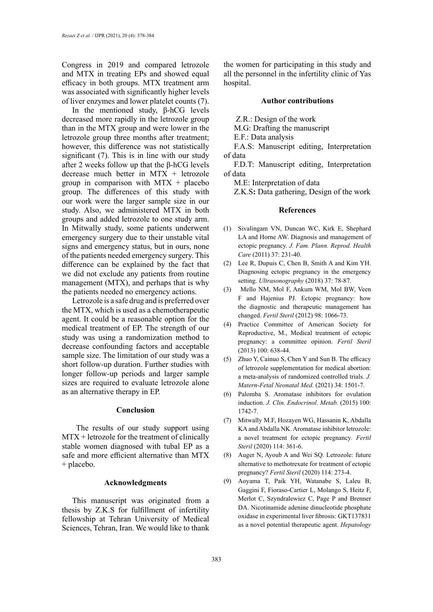Congress in 2019 and compared letrozole and MTX in treating EPs and showed equal efficacy in both groups. MTX treatment arm was associated with significantly higher levels of liver enzymes and lower platelet counts (7).

In the mentioned study, β-hCG levels decreased more rapidly in the letrozole group than in the MTX group and were lower in the letrozole group three months after treatment; however, this difference was not statistically significant (7). This is in line with our study after 2 weeks follow up that the β-hCG levels decrease much better in MTX + letrozole group in comparison with  $MTX + placebo$ group. The differences of this study with our work were the larger sample size in our study. Also, we administered MTX in both groups and added letrozole to one study arm. In Mitwally study, some patients underwent emergency surgery due to their unstable vital signs and emergency status, but in ours, none of the patients needed emergency surgery. This difference can be explained by the fact that we did not exclude any patients from routine management (MTX), and perhaps that is why the patients needed no emergency actions.

Letrozole is a safe drug and is preferred over the MTX, which is used as a chemotherapeutic agent. It could be a reasonable option for the medical treatment of EP. The strength of our study was using a randomization method to decrease confounding factors and acceptable sample size. The limitation of our study was a short follow-up duration. Further studies with longer follow-up periods and larger sample sizes are required to evaluate letrozole alone as an alternative therapy in EP.

# **Conclusion**

The results of our study support using  $MTX + letrozole$  for the treatment of clinically stable women diagnosed with tubal EP as a safe and more efficient alternative than MTX + placebo.

# **Acknowledgments**

This manuscript was originated from a thesis by Z.K.S for fulfillment of infertility fellowship at Tehran University of Medical Sciences, Tehran, Iran. We would like to thank

the women for participating in this study and all the personnel in the infertility clinic of Yas hospital.

# **Author contributions**

Z.R.: Design of the work

M.G: Drafting the manuscript

E.F.: Data analysis

F.A.S: Manuscript editing, Interpretation of data

F.D.T: Manuscript editing, Interpretation of data

M.E: Interpretation of data

Z.K.S**:** Data gathering, Design of the work

## **References**

- (1) Sivalingam VN, Duncan WC, Kirk E, Shephard LA and Horne AW. Diagnosis and management of ectopic pregnancy. *J. Fam. Plann. Reprod. Health Care* (2011) 37: 231-40.
- (2) Lee R, Dupuis C, Chen B, Smith A and Kim YH. Diagnosing ectopic pregnancy in the emergency setting. *Ultrasonography* (2018) 37: 78-87.
- (3) Mello NM, Mol F, Ankum WM, Mol BW, Veen F and Hajenius PJ. Ectopic pregnancy: how the diagnostic and therapeutic management has changed. *Fertil Steril* (2012) 98: 1066-73.
- (4) Practice Committee of American Society for Reproductive, M., Medical treatment of ectopic pregnancy: a committee opinion. *Fertil Steril* (2013) 100: 638-44.
- (5) Zhuo Y, Cainuo S, Chen Y and Sun B. The efficacy of letrozole supplementation for medical abortion: a meta-analysis of randomized controlled trials. *J. Matern-Fetal Neonatal Med.* (2021) 34: 1501-7.
- (6) Palomba S. Aromatase inhibitors for ovulation induction. *J. Clin. Endocrinol. Metab.* (2015) 100: 1742-7.
- (7) Mitwally M.F, Hozayen WG, Hassanin K, Abdalla KA and Abdalla NK. Aromatase inhibitor letrozole: a novel treatment for ectopic pregnancy*. Fertil Steril* (2020) 114: 361-6.
- (8) Auger N, Ayoub A and Wei SQ. Letrozole: future alternative to methotrexate for treatment of ectopic pregnancy? *Fertil Steril* (2020) 114: 273-4.
- (9) Aoyama T, Paik YH, Watanabe S, Laleu B, Gaggini F, Fioraso-Cartier L, Molango S, Heitz F, Merlot C, Szyndralewiez C, Page P and Brenner DA. Nicotinamide adenine dinucleotide phosphate oxidase in experimental liver fibrosis: GKT137831 as a novel potential therapeutic agent. *Hepatology*